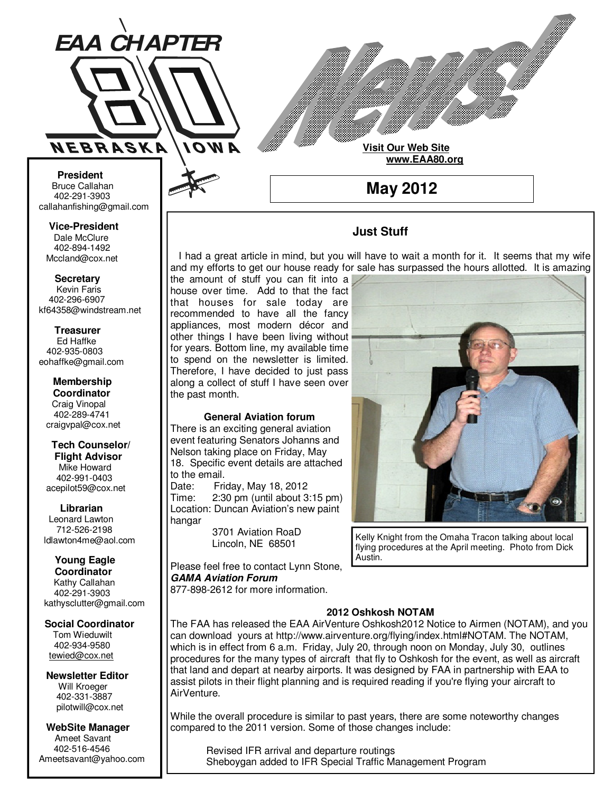

**Visit Our Web Site**

 **www.EAA80.org**

**May 2012** 

# **Just Stuff**

 I had a great article in mind, but you will have to wait a month for it. It seems that my wife and my efforts to get our house ready for sale has surpassed the hours allotted. It is amazing

the amount of stuff you can fit into a house over time. Add to that the fact that houses for sale today are recommended to have all the fancy appliances, most modern décor and other things I have been living without for years. Bottom line, my available time to spend on the newsletter is limited. Therefore, I have decided to just pass along a collect of stuff I have seen over the past month.

### **General Aviation forum**

There is an exciting general aviation event featuring Senators Johanns and Nelson taking place on Friday, May 18. Specific event details are attached to the email.

Date: Friday, May 18, 2012 Time: 2:30 pm (until about 3:15 pm) Location: Duncan Aviation's new paint hangar

> 3701 Aviation RoaD Lincoln, NE 68501

Please feel free to contact Lynn Stone, **GAMA Aviation Forum** 877-898-2612 for more information.



Kelly Knight from the Omaha Tracon talking about local flying procedures at the April meeting. Photo from Dick Austin.

### **2012 Oshkosh NOTAM**

The FAA has released the EAA AirVenture Oshkosh2012 Notice to Airmen (NOTAM), and you can download yours at http://www.airventure.org/flying/index.html#NOTAM. The NOTAM, which is in effect from 6 a.m. Friday, July 20, through noon on Monday, July 30, outlines procedures for the many types of aircraft that fly to Oshkosh for the event, as well as aircraft that land and depart at nearby airports. It was designed by FAA in partnership with EAA to assist pilots in their flight planning and is required reading if you're flying your aircraft to AirVenture.

While the overall procedure is similar to past years, there are some noteworthy changes compared to the 2011 version. Some of those changes include:

 Revised IFR arrival and departure routings Sheboygan added to IFR Special Traffic Management Program

**Bruce Callahan** 402-291-3903 callahanfishing@gmail.com jrnuke@cox.net

Dale McClure 402-894-1492 Mccland@cox.net  **Vice-President** 

**Kevin Faris** 402-296-6907 kf64358@windstream.net  **Secretary** 

Ed Haffke 402-935-0803 eohaffke@gmail.com  **Treasurer** 

eohaffke@gmail.com **Membership Coordi- Coordinator**  Craig Vinopal Bob Cartwright 402-289-4741 craigvpal@cox.net  **Membership** 

robertc@novia.net **Tech Counselors & Flight Advisor** Mike Howard Bob Harvey 402-991-0403 acepilot59@cox.net  **Tech Counselor/** 

Leonard Lawton 402-991-0403 712-526-2198 ldlawton4me@aol.com  **Librarian**

**Librarian Young Eagle Coordinator** Kathy Callahan ldlawton4me@aol.com 402-291-3903 kathysclutter@gmail.com

 **Coordinator Social Coordinator** 

Tom Wieduwilt 402-964-2645 402-934-9580 tewied@cox.net

**Newsletter Editor Newsletter Editor**  Will Kroeger Will Kroeger 402-331-3887 402-331-3887 pilotwill@cox.net

**WebSite Manager WebSite Manager**  Ameet Savant 402-516-4546 Ameet Savant<br>402-516-4546<br>Ameetsavant@yahoo.com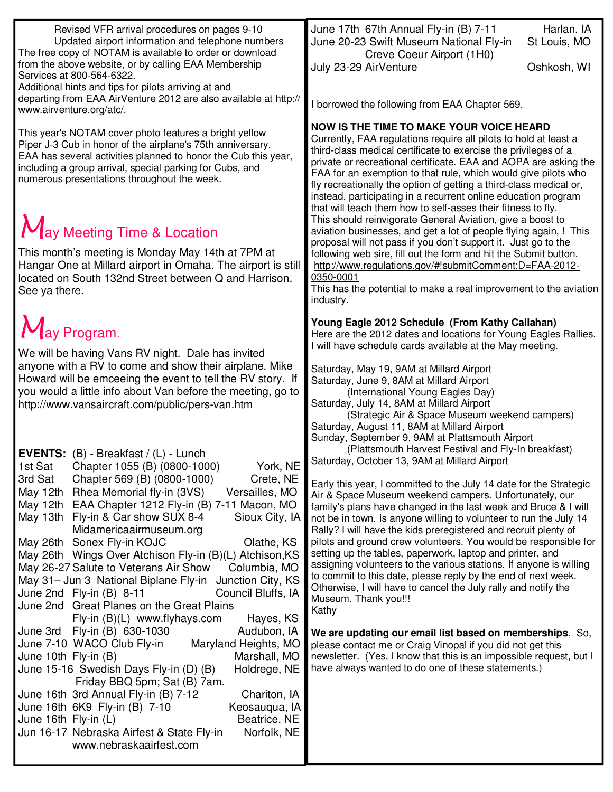| Revised VFR arrival procedures on pages 9-10<br>Updated airport information and telephone numbers<br>The free copy of NOTAM is available to order or download<br>from the above website, or by calling EAA Membership                                                                                                                                                                                                                                                                                                                                                                                                                                                                                                                  | June 17th 67th Annual Fly-in (B) 7-11<br>Harlan, IA<br>June 20-23 Swift Museum National Fly-in<br>St Louis, MO<br>Creve Coeur Airport (1H0)<br>July 23-29 AirVenture<br>Oshkosh, WI                                                                                                                                                                                                                                                                                                                                                                                                                                                                                                                                                                               |
|----------------------------------------------------------------------------------------------------------------------------------------------------------------------------------------------------------------------------------------------------------------------------------------------------------------------------------------------------------------------------------------------------------------------------------------------------------------------------------------------------------------------------------------------------------------------------------------------------------------------------------------------------------------------------------------------------------------------------------------|-------------------------------------------------------------------------------------------------------------------------------------------------------------------------------------------------------------------------------------------------------------------------------------------------------------------------------------------------------------------------------------------------------------------------------------------------------------------------------------------------------------------------------------------------------------------------------------------------------------------------------------------------------------------------------------------------------------------------------------------------------------------|
| Services at 800-564-6322.<br>Additional hints and tips for pilots arriving at and<br>departing from EAA AirVenture 2012 are also available at http://<br>www.airventure.org/atc/.                                                                                                                                                                                                                                                                                                                                                                                                                                                                                                                                                      | I borrowed the following from EAA Chapter 569.                                                                                                                                                                                                                                                                                                                                                                                                                                                                                                                                                                                                                                                                                                                    |
| This year's NOTAM cover photo features a bright yellow<br>Piper J-3 Cub in honor of the airplane's 75th anniversary.<br>EAA has several activities planned to honor the Cub this year,<br>including a group arrival, special parking for Cubs, and<br>numerous presentations throughout the week.                                                                                                                                                                                                                                                                                                                                                                                                                                      | <b>NOW IS THE TIME TO MAKE YOUR VOICE HEARD</b><br>Currently, FAA regulations require all pilots to hold at least a<br>third-class medical certificate to exercise the privileges of a<br>private or recreational certificate. EAA and AOPA are asking the<br>FAA for an exemption to that rule, which would give pilots who<br>fly recreationally the option of getting a third-class medical or,<br>instead, participating in a recurrent online education program                                                                                                                                                                                                                                                                                              |
| $M_{\text{av}}$ Meeting Time & Location<br>This month's meeting is Monday May 14th at 7PM at<br>Hangar One at Millard airport in Omaha. The airport is still<br>located on South 132nd Street between Q and Harrison.<br>See ya there.                                                                                                                                                                                                                                                                                                                                                                                                                                                                                                 | that will teach them how to self-asses their fitness to fly.<br>This should reinvigorate General Aviation, give a boost to<br>aviation businesses, and get a lot of people flying again, ! This<br>proposal will not pass if you don't support it. Just go to the<br>following web sire, fill out the form and hit the Submit button.<br>http://www.regulations.gov/#!submitComment;D=FAA-2012-<br>0350-0001<br>This has the potential to make a real improvement to the aviation<br>industry.                                                                                                                                                                                                                                                                    |
| May Program.                                                                                                                                                                                                                                                                                                                                                                                                                                                                                                                                                                                                                                                                                                                           | Young Eagle 2012 Schedule (From Kathy Callahan)<br>Here are the 2012 dates and locations for Young Eagles Rallies.<br>I will have schedule cards available at the May meeting.                                                                                                                                                                                                                                                                                                                                                                                                                                                                                                                                                                                    |
| We will be having Vans RV night. Dale has invited<br>anyone with a RV to come and show their airplane. Mike<br>Howard will be emceeing the event to tell the RV story. If<br>you would a little info about Van before the meeting, go to<br>http://www.vansaircraft.com/public/pers-van.htm                                                                                                                                                                                                                                                                                                                                                                                                                                            | Saturday, May 19, 9AM at Millard Airport<br>Saturday, June 9, 8AM at Millard Airport<br>(International Young Eagles Day)<br>Saturday, July 14, 8AM at Millard Airport<br>(Strategic Air & Space Museum weekend campers)<br>Saturday, August 11, 8AM at Millard Airport<br>Sunday, September 9, 9AM at Plattsmouth Airport<br>(Plattsmouth Harvest Festival and Fly-In breakfast)                                                                                                                                                                                                                                                                                                                                                                                  |
| EVENTS: (B) - Breakfast / (L) - Lunch<br>York, NE<br>Chapter 1055 (B) (0800-1000)<br>1st Sat<br>3rd Sat<br>Chapter 569 (B) (0800-1000)<br>Crete, NE<br>May 12th<br>Rhea Memorial fly-in (3VS)<br>Versailles, MO<br>May 12th<br>EAA Chapter 1212 Fly-in (B) 7-11 Macon, MO<br>May 13th Fly-in & Car show SUX 8-4<br>Sioux City, IA<br>Midamericaairmuseum.org<br>May 26th Sonex Fly-in KOJC<br>Olathe, KS<br>May 26th Wings Over Atchison Fly-in (B)(L) Atchison, KS<br>May 26-27 Salute to Veterans Air Show<br>Columbia, MO<br>May 31- Jun 3 National Biplane Fly-in Junction City, KS<br>Council Bluffs, IA<br>June 2nd Fly-in (B) 8-11<br>June 2nd Great Planes on the Great Plains<br>Fly-in $(B)(L)$ www.flyhays.com<br>Hayes, KS | Saturday, October 13, 9AM at Millard Airport<br>Early this year, I committed to the July 14 date for the Strategic<br>Air & Space Museum weekend campers. Unfortunately, our<br>family's plans have changed in the last week and Bruce & I will<br>not be in town. Is anyone willing to volunteer to run the July 14<br>Rally? I will have the kids preregistered and recruit plenty of<br>pilots and ground crew volunteers. You would be responsible for<br>setting up the tables, paperwork, laptop and printer, and<br>assigning volunteers to the various stations. If anyone is willing<br>to commit to this date, please reply by the end of next week.<br>Otherwise, I will have to cancel the July rally and notify the<br>Museum. Thank you!!!<br>Kathy |
| June 3rd Fly-in (B) 630-1030<br>Audubon, IA<br>June 7-10 WACO Club Fly-in<br>Maryland Heights, MO<br>June 10th Fly-in (B)<br>Marshall, MO<br>June 15-16 Swedish Days Fly-in (D) (B)<br>Holdrege, NE<br>Friday BBQ 5pm; Sat (B) 7am.<br>Chariton, IA<br>June 16th 3rd Annual Fly-in (B) 7-12<br>June 16th 6K9 Fly-in (B) 7-10<br>Keosauqua, IA<br>June 16th Fly-in (L)<br>Beatrice, NE<br>Jun 16-17 Nebraska Airfest & State Fly-in<br>Norfolk, NE<br>www.nebraskaairfest.com                                                                                                                                                                                                                                                           | We are updating our email list based on memberships. So,<br>please contact me or Craig Vinopal if you did not get this<br>newsletter. (Yes, I know that this is an impossible request, but I<br>have always wanted to do one of these statements.)                                                                                                                                                                                                                                                                                                                                                                                                                                                                                                                |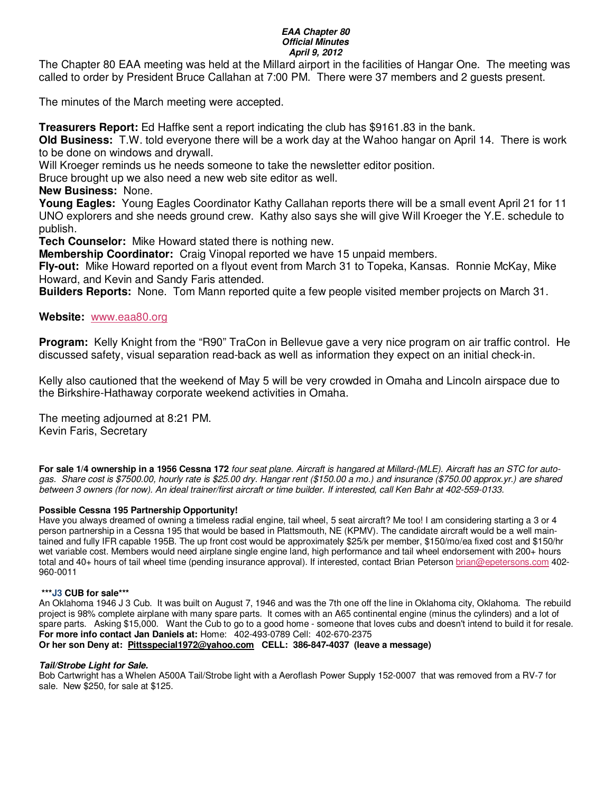#### **EAA Chapter 80 Official Minutes April 9, 2012**

The Chapter 80 EAA meeting was held at the Millard airport in the facilities of Hangar One. The meeting was called to order by President Bruce Callahan at 7:00 PM. There were 37 members and 2 guests present.

The minutes of the March meeting were accepted.

**Treasurers Report:** Ed Haffke sent a report indicating the club has \$9161.83 in the bank.

**Old Business:** T.W. told everyone there will be a work day at the Wahoo hangar on April 14. There is work to be done on windows and drywall.

Will Kroeger reminds us he needs someone to take the newsletter editor position.

Bruce brought up we also need a new web site editor as well.

**New Business:** None.

**Young Eagles:** Young Eagles Coordinator Kathy Callahan reports there will be a small event April 21 for 11 UNO explorers and she needs ground crew. Kathy also says she will give Will Kroeger the Y.E. schedule to publish.

**Tech Counselor:** Mike Howard stated there is nothing new.

**Membership Coordinator:** Craig Vinopal reported we have 15 unpaid members.

**Fly-out:** Mike Howard reported on a flyout event from March 31 to Topeka, Kansas. Ronnie McKay, Mike Howard, and Kevin and Sandy Faris attended.

**Builders Reports:** None. Tom Mann reported quite a few people visited member projects on March 31.

## **Website:** www.eaa80.org

**Program:** Kelly Knight from the "R90" TraCon in Bellevue gave a very nice program on air traffic control. He discussed safety, visual separation read-back as well as information they expect on an initial check-in.

Kelly also cautioned that the weekend of May 5 will be very crowded in Omaha and Lincoln airspace due to the Birkshire-Hathaway corporate weekend activities in Omaha.

The meeting adjourned at 8:21 PM. Kevin Faris, Secretary

**For sale 1/4 ownership in a 1956 Cessna 172** four seat plane. Aircraft is hangared at Millard-(MLE). Aircraft has an STC for autogas. Share cost is \$7500.00, hourly rate is \$25.00 dry. Hangar rent (\$150.00 a mo.) and insurance (\$750.00 approx.yr.) are shared between 3 owners (for now). An ideal trainer/first aircraft or time builder. If interested, call Ken Bahr at 402-559-0133.

### **Possible Cessna 195 Partnership Opportunity!**

Have you always dreamed of owning a timeless radial engine, tail wheel, 5 seat aircraft? Me too! I am considering starting a 3 or 4 person partnership in a Cessna 195 that would be based in Plattsmouth, NE (KPMV). The candidate aircraft would be a well maintained and fully IFR capable 195B. The up front cost would be approximately \$25/k per member, \$150/mo/ea fixed cost and \$150/hr wet variable cost. Members would need airplane single engine land, high performance and tail wheel endorsement with 200+ hours total and 40+ hours of tail wheel time (pending insurance approval). If interested, contact Brian Peterson brian@epetersons.com 402- 960-0011

### **\*\*\*J3 CUB for sale\*\*\***

An Oklahoma 1946 J 3 Cub. It was built on August 7, 1946 and was the 7th one off the line in Oklahoma city, Oklahoma. The rebuild project is 98% complete airplane with many spare parts. It comes with an A65 continental engine (minus the cylinders) and a lot of spare parts. Asking \$15,000. Want the Cub to go to a good home - someone that loves cubs and doesn't intend to build it for resale. **For more info contact Jan Daniels at:** Home: 402-493-0789 Cell: 402-670-2375 **Or her son Deny at: Pittsspecial1972@yahoo.com CELL: 386-847-4037 (leave a message)** 

### **Tail/Strobe Light for Sale.**

Bob Cartwright has a Whelen A500A Tail/Strobe light with a Aeroflash Power Supply 152-0007 that was removed from a RV-7 for sale. New \$250, for sale at \$125.